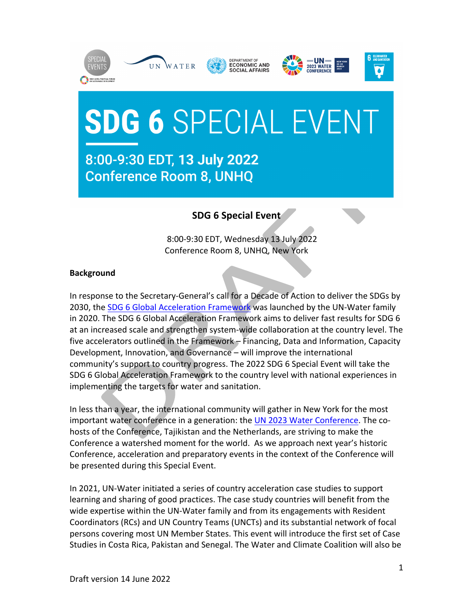









## **SDG 6 SPECIAL EVENT**

## 8:00-9:30 EDT, 13 July 2022 **Conference Room 8, UNHQ**

## **SDG 6 Special Event**

8:00-9:30 EDT, Wednesday 13 July 2022 Conference Room 8, UNHQ, New York

## **Background**

In response to the Secretary-General's call for a Decade of Action to deliver the SDGs by 2030, the SDG 6 Global Acceleration Framework was launched by the UN-Water family in 2020. The SDG 6 Global Acceleration Framework aims to deliver fast results for SDG 6 at an increased scale and strengthen system-wide collaboration at the country level. The five accelerators outlined in the Framework – Financing, Data and Information, Capacity Development, Innovation, and Governance – will improve the international community's support to country progress. The 2022 SDG 6 Special Event will take the SDG 6 Global Acceleration Framework to the country level with national experiences in implementing the targets for water and sanitation.

In less than a year, the international community will gather in New York for the most important water conference in a generation: the UN 2023 Water Conference. The cohosts of the Conference, Tajikistan and the Netherlands, are striving to make the Conference a watershed moment for the world. As we approach next year's historic Conference, acceleration and preparatory events in the context of the Conference will be presented during this Special Event.

In 2021, UN-Water initiated a series of country acceleration case studies to support learning and sharing of good practices. The case study countries will benefit from the wide expertise within the UN-Water family and from its engagements with Resident Coordinators (RCs) and UN Country Teams (UNCTs) and its substantial network of focal persons covering most UN Member States. This event will introduce the first set of Case Studies in Costa Rica, Pakistan and Senegal. The Water and Climate Coalition will also be